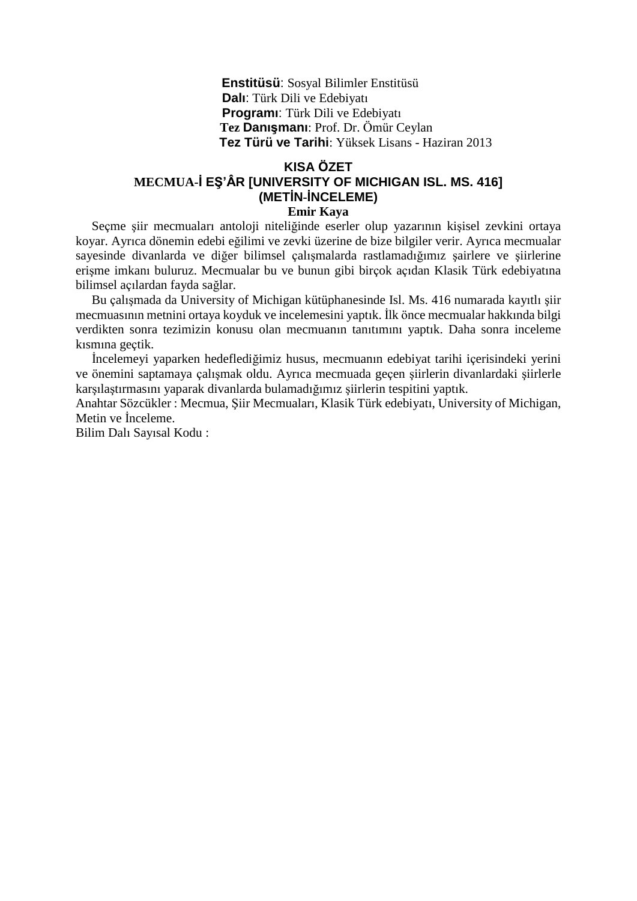**Enstitüsü**: Sosyal Bilimler Enstitüsü  **Dalı**: Türk Dili ve Edebiyatı  **Programı**: Türk Dili ve Edebiyatı  **Tez Danışmanı**: Prof. Dr. Ömür Ceylan  **Tez Türü ve Tarihi**: Yüksek Lisans - Haziran 2013

## **KISA ÖZET MECMUA-İ EŞ'ÂR [UNIVERSITY OF MICHIGAN ISL. MS. 416] (METİN-İNCELEME) Emir Kaya**

 Seçme şiir mecmuaları antoloji niteliğinde eserler olup yazarının kişisel zevkini ortaya koyar. Ayrıca dönemin edebi eğilimi ve zevki üzerine de bize bilgiler verir. Ayrıca mecmualar sayesinde divanlarda ve diğer bilimsel çalışmalarda rastlamadığımız şairlere ve şiirlerine erişme imkanı buluruz. Mecmualar bu ve bunun gibi birçok açıdan Klasik Türk edebiyatına bilimsel açılardan fayda sağlar.

 Bu çalışmada da University of Michigan kütüphanesinde Isl. Ms. 416 numarada kayıtlı şiir mecmuasının metnini ortaya koyduk ve incelemesini yaptık. İlk önce mecmualar hakkında bilgi verdikten sonra tezimizin konusu olan mecmuanın tanıtımını yaptık. Daha sonra inceleme kısmına geçtik.

 İncelemeyi yaparken hedeflediğimiz husus, mecmuanın edebiyat tarihi içerisindeki yerini ve önemini saptamaya çalışmak oldu. Ayrıca mecmuada geçen şiirlerin divanlardaki şiirlerle karşılaştırmasını yaparak divanlarda bulamadığımız şiirlerin tespitini yaptık.

Anahtar Sözcükler : Mecmua, Şiir Mecmuaları, Klasik Türk edebiyatı, University of Michigan, Metin ve İnceleme.

Bilim Dalı Sayısal Kodu :